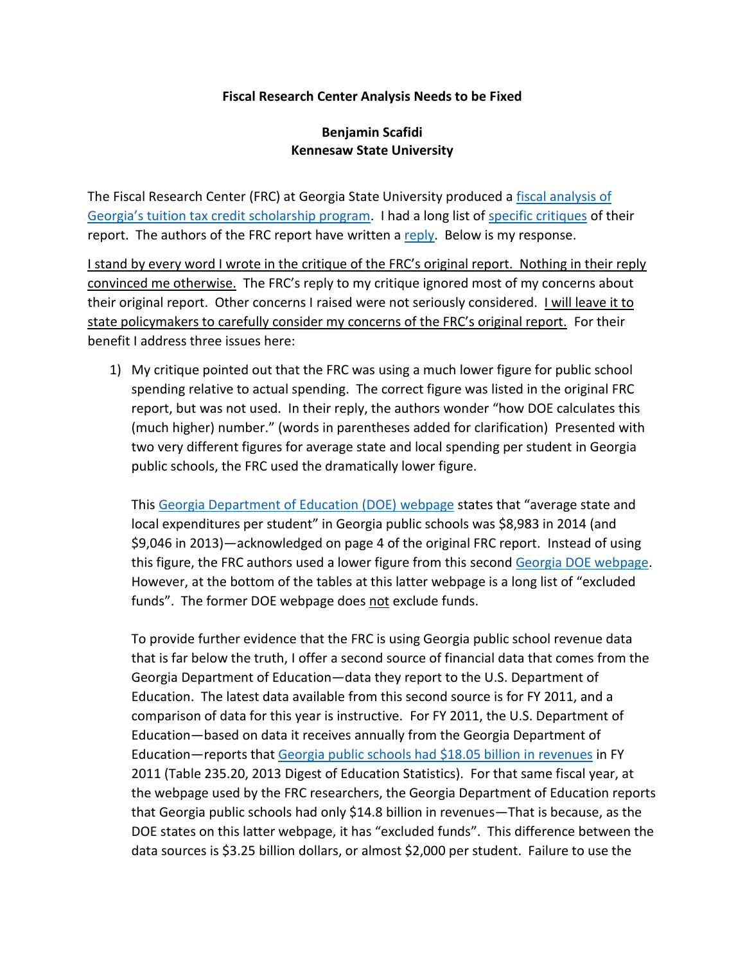## **Fiscal Research Center Analysis Needs to be Fixed**

## **Benjamin Scafidi Kennesaw State University**

The Fiscal Research Center (FRC) at Georgia State University produced a [fiscal analysis of](http://frc.gsu.edu/files/2014/06/Georgia-Tax-Credit-Scholarship_Nov2014.pdf)  [Georgia's tuition tax credit scholarship program](http://frc.gsu.edu/files/2014/06/Georgia-Tax-Credit-Scholarship_Nov2014.pdf). I had a long list of [specific critiques](http://georgiapolicy.org/ftp_files/FiscalImpactTaxCreditScholarships.pdf) of their report. The authors of the FRC report have written a [reply.](http://cslf.gsu.edu/2014/12/16/scafidis-hasty-conclusions-frc-report-education-scholarship-tax-credit/) Below is my response.

I stand by every word I wrote in the critique of the FRC's original report. Nothing in their reply convinced me otherwise. The FRC's reply to my critique ignored most of my concerns about their original report. Other concerns I raised were not seriously considered. I will leave it to state policymakers to carefully consider my concerns of the FRC's original report. For their benefit I address three issues here:

1) My critique pointed out that the FRC was using a much lower figure for public school spending relative to actual spending. The correct figure was listed in the original FRC report, but was not used. In their reply, the authors wonder "how DOE calculates this (much higher) number." (words in parentheses added for clarification) Presented with two very different figures for average state and local spending per student in Georgia public schools, the FRC used the dramatically lower figure.

This [Georgia Department of Education \(DOE\) webpage](http://www.gadoe.org/External-Affairs-and-Policy/Policy/Documents/SSO%20Scholarship%20Cap.pdf) states that "average state and local expenditures per student" in Georgia public schools was \$8,983 in 2014 (and \$9,046 in 2013)—acknowledged on page 4 of the original FRC report. Instead of using this figure, the FRC authors used a lower figure from this second [Georgia DOE webpage.](https://app.doe.k12.ga.us/ows-bin/owa/fin_pack_revenue.entry_form) However, at the bottom of the tables at this latter webpage is a long list of "excluded funds". The former DOE webpage does not exclude funds.

To provide further evidence that the FRC is using Georgia public school revenue data that is far below the truth, I offer a second source of financial data that comes from the Georgia Department of Education—data they report to the U.S. Department of Education. The latest data available from this second source is for FY 2011, and a comparison of data for this year is instructive. For FY 2011, the U.S. Department of Education—based on data it receives annually from the Georgia Department of Education-reports that [Georgia public schools had \\$18.05 billion in revenues](http://nces.ed.gov/programs/digest/d13/tables/dt13_235.20.asp) in FY 2011 (Table 235.20, 2013 Digest of Education Statistics). For that same fiscal year, at the webpage used by the FRC researchers, the Georgia Department of Education reports that Georgia public schools had only \$14.8 billion in revenues—That is because, as the DOE states on this latter webpage, it has "excluded funds". This difference between the data sources is \$3.25 billion dollars, or almost \$2,000 per student. Failure to use the